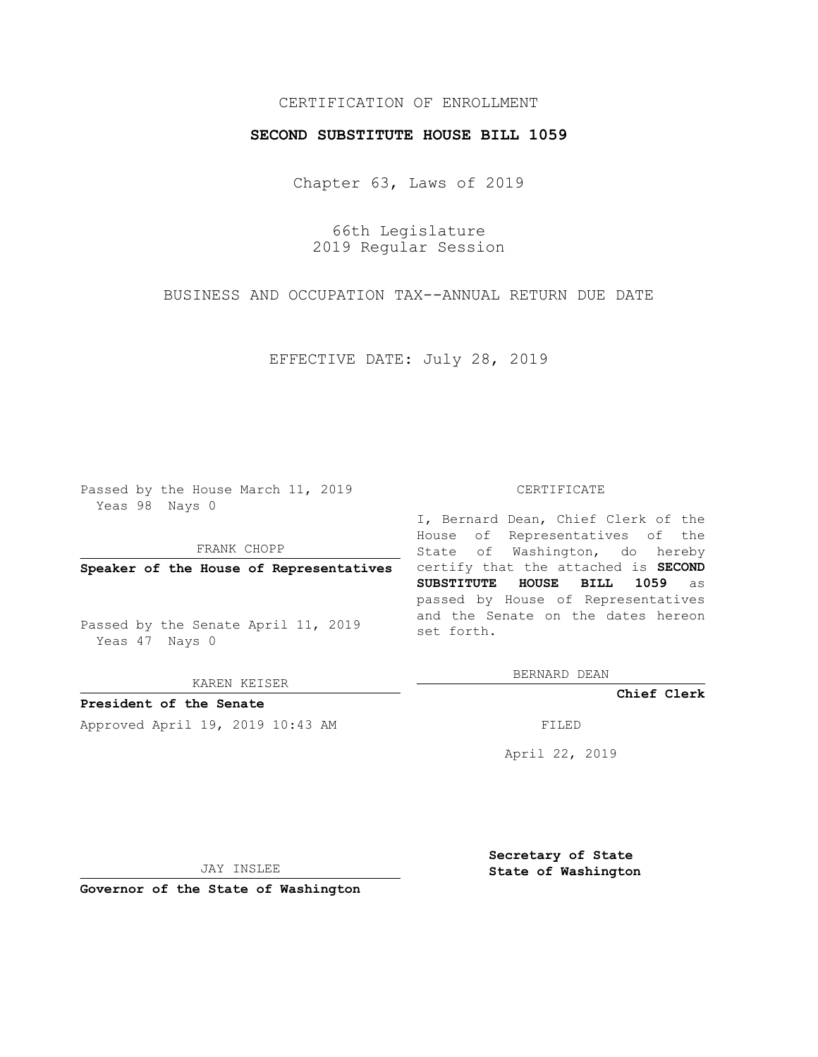## CERTIFICATION OF ENROLLMENT

### **SECOND SUBSTITUTE HOUSE BILL 1059**

Chapter 63, Laws of 2019

66th Legislature 2019 Regular Session

BUSINESS AND OCCUPATION TAX--ANNUAL RETURN DUE DATE

EFFECTIVE DATE: July 28, 2019

Passed by the House March 11, 2019 Yeas 98 Nays 0

FRANK CHOPP

Passed by the Senate April 11, 2019 Yeas 47 Nays 0

KAREN KEISER

**President of the Senate**

Approved April 19, 2019 10:43 AM FILED

#### CERTIFICATE

**Speaker of the House of Representatives** certify that the attached is **SECOND** I, Bernard Dean, Chief Clerk of the House of Representatives of the State of Washington, do hereby **SUBSTITUTE HOUSE BILL 1059** as passed by House of Representatives and the Senate on the dates hereon set forth.

BERNARD DEAN

**Chief Clerk**

April 22, 2019

JAY INSLEE

**Governor of the State of Washington**

**Secretary of State State of Washington**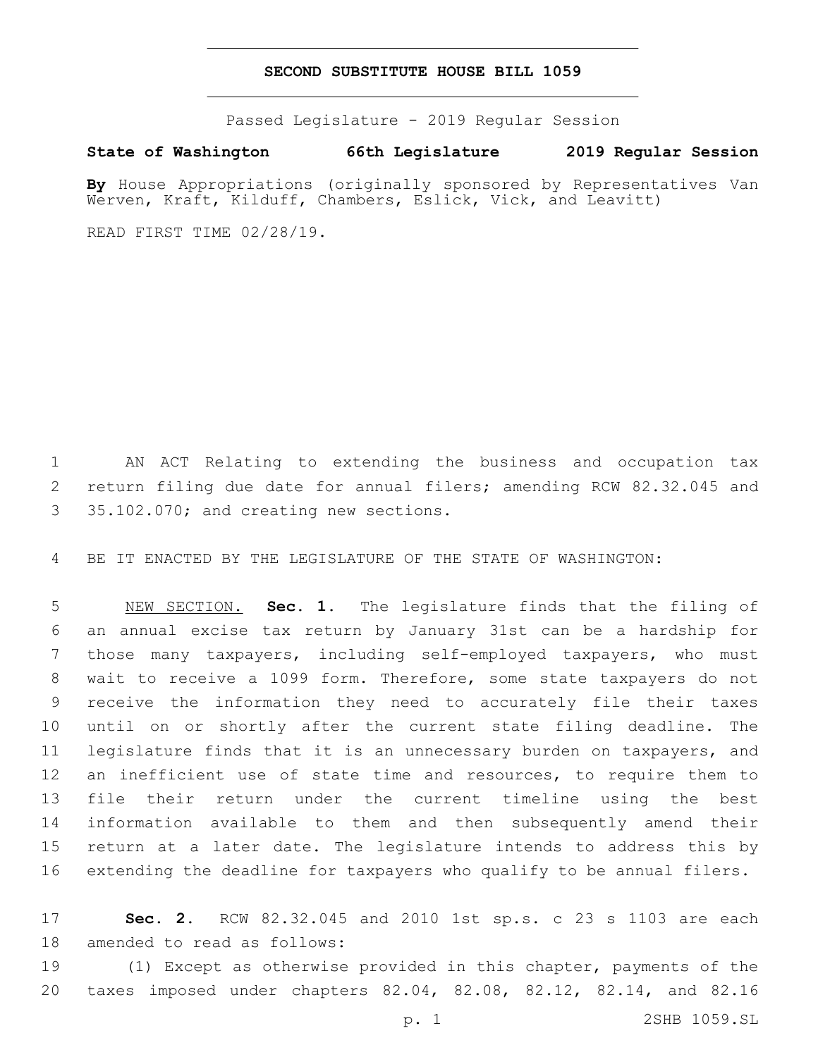## **SECOND SUBSTITUTE HOUSE BILL 1059**

Passed Legislature - 2019 Regular Session

# **State of Washington 66th Legislature 2019 Regular Session**

**By** House Appropriations (originally sponsored by Representatives Van Werven, Kraft, Kilduff, Chambers, Eslick, Vick, and Leavitt)

READ FIRST TIME 02/28/19.

 AN ACT Relating to extending the business and occupation tax return filing due date for annual filers; amending RCW 82.32.045 and 3 35.102.070; and creating new sections.

BE IT ENACTED BY THE LEGISLATURE OF THE STATE OF WASHINGTON:

 NEW SECTION. **Sec. 1.** The legislature finds that the filing of an annual excise tax return by January 31st can be a hardship for those many taxpayers, including self-employed taxpayers, who must wait to receive a 1099 form. Therefore, some state taxpayers do not receive the information they need to accurately file their taxes until on or shortly after the current state filing deadline. The legislature finds that it is an unnecessary burden on taxpayers, and 12 an inefficient use of state time and resources, to require them to file their return under the current timeline using the best information available to them and then subsequently amend their return at a later date. The legislature intends to address this by extending the deadline for taxpayers who qualify to be annual filers.

 **Sec. 2.** RCW 82.32.045 and 2010 1st sp.s. c 23 s 1103 are each 18 amended to read as follows:

 (1) Except as otherwise provided in this chapter, payments of the taxes imposed under chapters 82.04, 82.08, 82.12, 82.14, and 82.16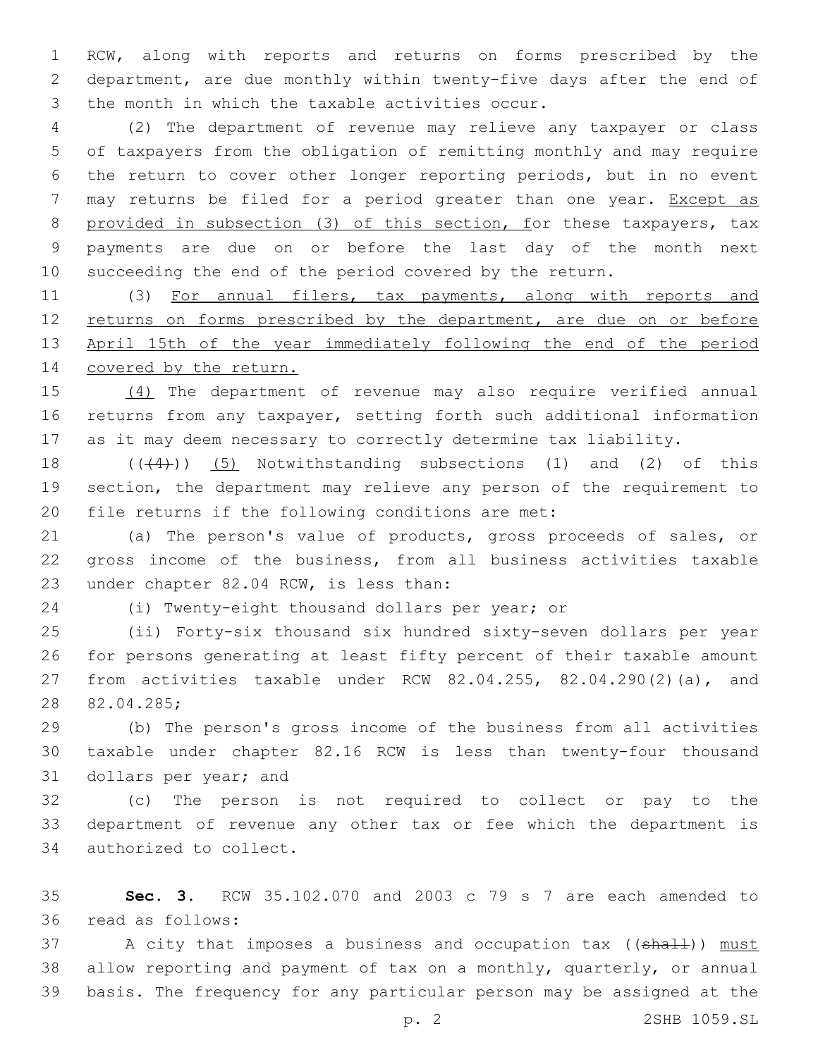RCW, along with reports and returns on forms prescribed by the department, are due monthly within twenty-five days after the end of 3 the month in which the taxable activities occur.

 (2) The department of revenue may relieve any taxpayer or class of taxpayers from the obligation of remitting monthly and may require the return to cover other longer reporting periods, but in no event may returns be filed for a period greater than one year. Except as provided in subsection (3) of this section, for these taxpayers, tax payments are due on or before the last day of the month next succeeding the end of the period covered by the return.

 (3) For annual filers, tax payments, along with reports and 12 returns on forms prescribed by the department, are due on or before April 15th of the year immediately following the end of the period 14 covered by the return.

 (4) The department of revenue may also require verified annual returns from any taxpayer, setting forth such additional information as it may deem necessary to correctly determine tax liability.

 $((44))$  (5) Notwithstanding subsections (1) and (2) of this section, the department may relieve any person of the requirement to 20 file returns if the following conditions are met:

 (a) The person's value of products, gross proceeds of sales, or gross income of the business, from all business activities taxable 23 under chapter 82.04 RCW, is less than:

(i) Twenty-eight thousand dollars per year; or

 (ii) Forty-six thousand six hundred sixty-seven dollars per year for persons generating at least fifty percent of their taxable amount from activities taxable under RCW 82.04.255, 82.04.290(2)(a), and 28 82.04.285;

 (b) The person's gross income of the business from all activities taxable under chapter 82.16 RCW is less than twenty-four thousand 31 dollars per year; and

 (c) The person is not required to collect or pay to the department of revenue any other tax or fee which the department is 34 authorized to collect.

 **Sec. 3.** RCW 35.102.070 and 2003 c 79 s 7 are each amended to read as follows:36

37 A city that imposes a business and occupation tax ((shall)) must allow reporting and payment of tax on a monthly, quarterly, or annual basis. The frequency for any particular person may be assigned at the